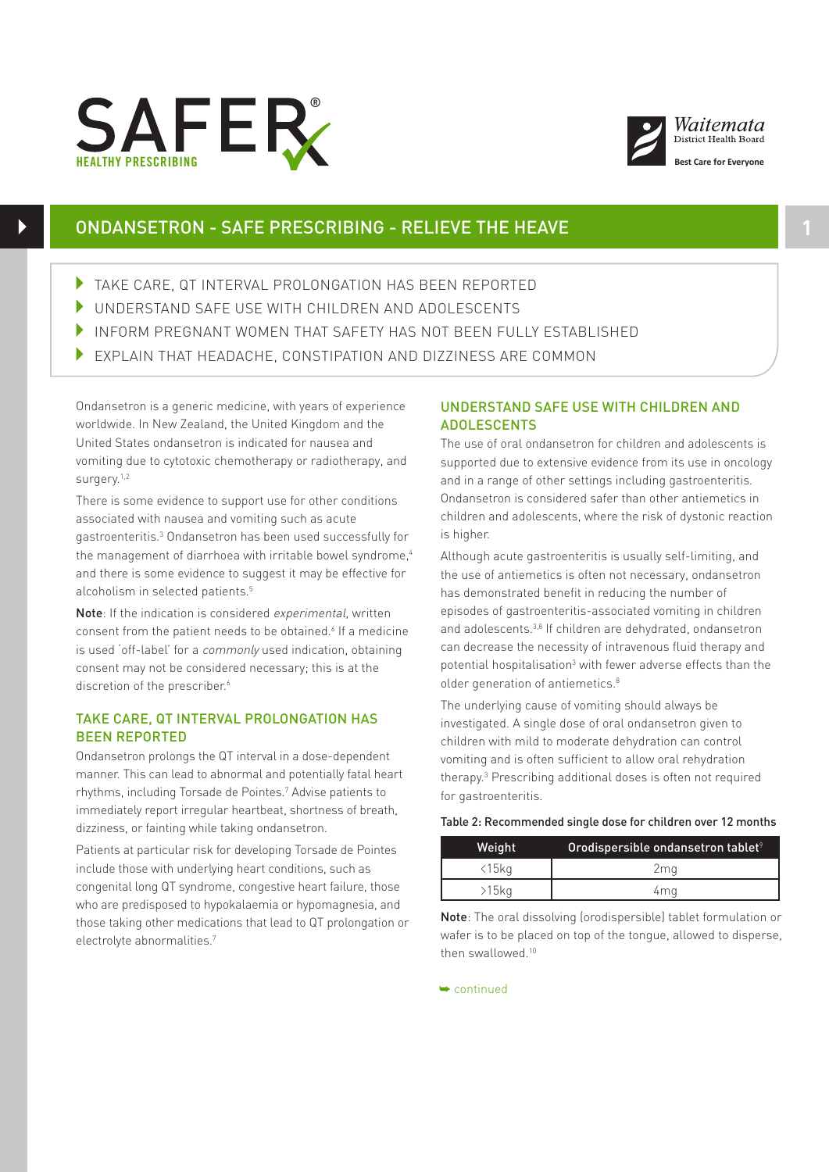



# ONDANSETRON - SAFE PRESCRIBING - RELIEVE THE HEAVE **1**

- TAKE CARE, QT INTERVAL PROLONGATION HAS BEEN REPORTED
- 4 UNDERSTAND SAFE USE WITH CHILDREN AND ADOLESCENTS
- 4 INFORM PREGNANT WOMEN THAT SAFETY HAS NOT BEEN FULLY ESTABLISHED
- 4 EXPLAIN THAT HEADACHE, CONSTIPATION AND DIZZINESS ARE COMMON

Ondansetron is a generic medicine, with years of experience worldwide. In New Zealand, the United Kingdom and the United States ondansetron is indicated for nausea and vomiting due to cytotoxic chemotherapy or radiotherapy, and surgery.<sup>1,2</sup>

There is some evidence to support use for other conditions associated with nausea and vomiting such as acute gastroenteritis.3 Ondansetron has been used successfully for the management of diarrhoea with irritable bowel syndrome,<sup>4</sup> and there is some evidence to suggest it may be effective for alcoholism in selected patients.<sup>5</sup>

Note: If the indication is considered experimental, written consent from the patient needs to be obtained.<sup>6</sup> If a medicine is used 'off-label' for a *commonly* used indication, obtaining consent may not be considered necessary; this is at the discretion of the prescriber.<sup>6</sup>

### TAKE CARE, QT INTERVAL PROLONGATION HAS BEEN REPORTED

Ondansetron prolongs the QT interval in a dose-dependent manner. This can lead to abnormal and potentially fatal heart rhythms, including Torsade de Pointes.7 Advise patients to immediately report irregular heartbeat, shortness of breath, dizziness, or fainting while taking ondansetron.

Patients at particular risk for developing Torsade de Pointes include those with underlying heart conditions, such as congenital long QT syndrome, congestive heart failure, those who are predisposed to hypokalaemia or hypomagnesia, and those taking other medications that lead to QT prolongation or electrolyte abnormalities.7

## UNDERSTAND SAFE USE WITH CHILDREN AND **ADOLESCENTS**

The use of oral ondansetron for children and adolescents is supported due to extensive evidence from its use in oncology and in a range of other settings including gastroenteritis. Ondansetron is considered safer than other antiemetics in children and adolescents, where the risk of dystonic reaction is higher.

Although acute gastroenteritis is usually self-limiting, and the use of antiemetics is often not necessary, ondansetron has demonstrated benefit in reducing the number of episodes of gastroenteritis-associated vomiting in children and adolescents.<sup>3,8</sup> If children are dehydrated, ondansetron can decrease the necessity of intravenous fluid therapy and potential hospitalisation<sup>3</sup> with fewer adverse effects than the older generation of antiemetics.<sup>8</sup>

The underlying cause of vomiting should always be investigated. A single dose of oral ondansetron given to children with mild to moderate dehydration can control vomiting and is often sufficient to allow oral rehydration therapy.3 Prescribing additional doses is often not required for gastroenteritis.

### Table 2: Recommended single dose for children over 12 months

| Weight         | Orodispersible ondansetron tablet <sup>9</sup> |
|----------------|------------------------------------------------|
| $\langle 15kq$ | 2ma                                            |
| >15kg          | 4ma                                            |

Note: The oral dissolving (orodispersible) tablet formulation or wafer is to be placed on top of the tongue, allowed to disperse, then swallowed.<sup>10</sup>

➥ continued